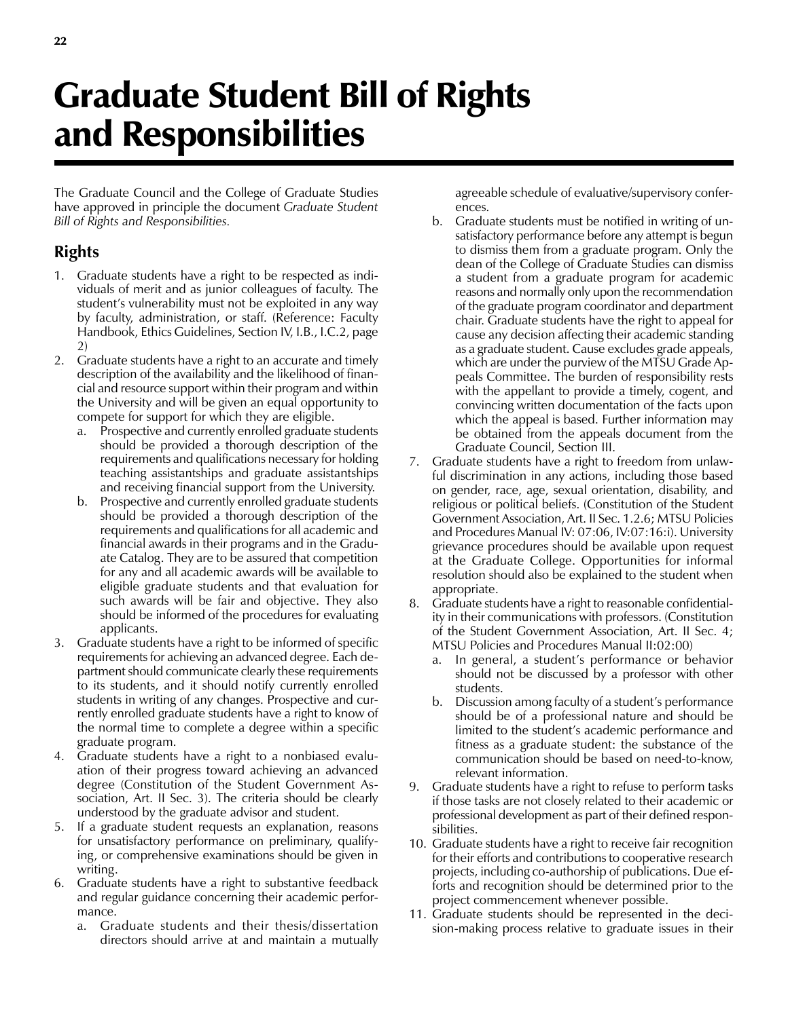## Graduate Student Bill of Rights and Responsibilities

The Graduate Council and the College of Graduate Studies have approved in principle the document *Graduate Student Bill of Rights and Responsibilities.*

## **Rights**

- 1. Graduate students have a right to be respected as individuals of merit and as junior colleagues of faculty. The student's vulnerability must not be exploited in any way by faculty, administration, or staff. (Reference: Faculty Handbook, Ethics Guidelines, Section IV, I.B., I.C.2, page 2)
- 2. Graduate students have a right to an accurate and timely description of the availability and the likelihood of financial and resource support within their program and within the University and will be given an equal opportunity to compete for support for which they are eligible.
	- a. Prospective and currently enrolled graduate students should be provided a thorough description of the requirements and qualifications necessary for holding teaching assistantships and graduate assistantships and receiving financial support from the University.
	- b. Prospective and currently enrolled graduate students should be provided a thorough description of the requirements and qualifications for all academic and financial awards in their programs and in the Graduate Catalog. They are to be assured that competition for any and all academic awards will be available to eligible graduate students and that evaluation for such awards will be fair and objective. They also should be informed of the procedures for evaluating applicants.
- 3. Graduate students have a right to be informed of specific requirements for achieving an advanced degree. Each department should communicate clearly these requirements to its students, and it should notify currently enrolled students in writing of any changes. Prospective and currently enrolled graduate students have a right to know of the normal time to complete a degree within a specific graduate program.
- 4. Graduate students have a right to a nonbiased evaluation of their progress toward achieving an advanced degree (Constitution of the Student Government Association, Art. II Sec. 3). The criteria should be clearly understood by the graduate advisor and student.
- 5. If a graduate student requests an explanation, reasons for unsatisfactory performance on preliminary, qualifying, or comprehensive examinations should be given in writing.
- 6. Graduate students have a right to substantive feedback and regular guidance concerning their academic performance.
	- a. Graduate students and their thesis/dissertation directors should arrive at and maintain a mutually

agreeable schedule of evaluative/supervisory conferences.

- b. Graduate students must be notified in writing of unsatisfactory performance before any attempt is begun to dismiss them from a graduate program. Only the dean of the College of Graduate Studies can dismiss a student from a graduate program for academic reasons and normally only upon the recommendation of the graduate program coordinator and department chair. Graduate students have the right to appeal for cause any decision affecting their academic standing as a graduate student. Cause excludes grade appeals, which are under the purview of the MTSU Grade Appeals Committee. The burden of responsibility rests with the appellant to provide a timely, cogent, and convincing written documentation of the facts upon which the appeal is based. Further information may be obtained from the appeals document from the Graduate Council, Section III.
- 7. Graduate students have a right to freedom from unlawful discrimination in any actions, including those based on gender, race, age, sexual orientation, disability, and religious or political beliefs. (Constitution of the Student Government Association, Art. II Sec. 1.2.6; MTSU Policies and Procedures Manual IV: 07:06, IV:07:16:i). University grievance procedures should be available upon request at the Graduate College. Opportunities for informal resolution should also be explained to the student when appropriate.
- 8. Graduate students have a right to reasonable confidentiality in their communications with professors. (Constitution of the Student Government Association, Art. II Sec. 4; MTSU Policies and Procedures Manual II:02:00)
	- a. In general, a student's performance or behavior should not be discussed by a professor with other students.
	- b. Discussion among faculty of a student's performance should be of a professional nature and should be limited to the student's academic performance and fitness as a graduate student: the substance of the communication should be based on need-to-know, relevant information.
- 9. Graduate students have a right to refuse to perform tasks if those tasks are not closely related to their academic or professional development as part of their defined responsibilities.
- 10. Graduate students have a right to receive fair recognition for their efforts and contributions to cooperative research projects, including co-authorship of publications. Due efforts and recognition should be determined prior to the project commencement whenever possible.
- 11. Graduate students should be represented in the decision-making process relative to graduate issues in their